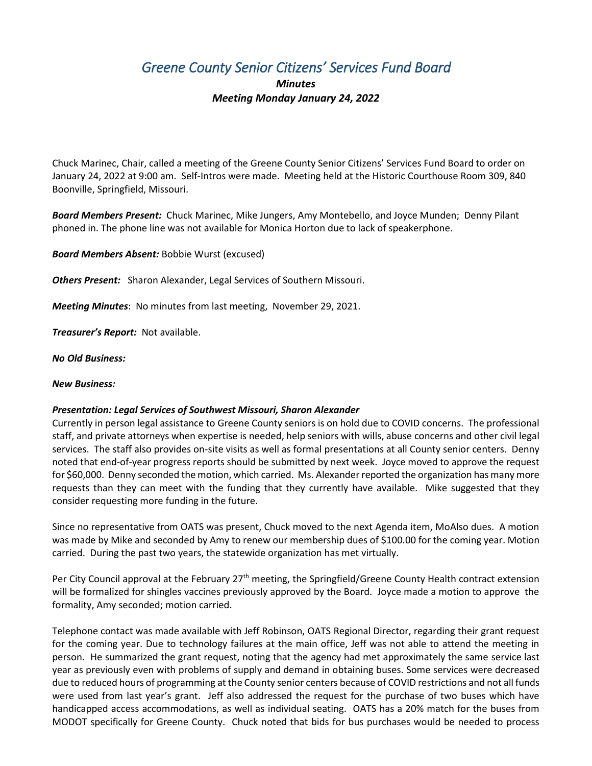## *Greene County Senior Citizens' Services Fund Board*

## *Minutes Meeting Monday January 24, 2022*

Chuck Marinec, Chair, called a meeting of the Greene County Senior Citizens' Services Fund Board to order on January 24, 2022 at 9:00 am. Self-Intros were made. Meeting held at the Historic Courthouse Room 309, 840 Boonville, Springfield, Missouri.

*Board Members Present:* Chuck Marinec, Mike Jungers, Amy Montebello, and Joyce Munden; Denny Pilant phoned in. The phone line was not available for Monica Horton due to lack of speakerphone.

*Board Members Absent:* Bobbie Wurst (excused)

*Others Present:* Sharon Alexander, Legal Services of Southern Missouri.

*Meeting Minutes*: No minutes from last meeting, November 29, 2021.

*Treasurer's Report:* Not available.

*No Old Business:*

## *New Business:*

## *Presentation: Legal Services of Southwest Missouri, Sharon Alexander*

Currently in person legal assistance to Greene County seniors is on hold due to COVID concerns. The professional staff, and private attorneys when expertise is needed, help seniors with wills, abuse concerns and other civil legal services. The staff also provides on-site visits as well as formal presentations at all County senior centers. Denny noted that end-of-year progress reports should be submitted by next week. Joyce moved to approve the request for \$60,000. Denny seconded the motion, which carried. Ms. Alexander reported the organization has many more requests than they can meet with the funding that they currently have available. Mike suggested that they consider requesting more funding in the future.

Since no representative from OATS was present, Chuck moved to the next Agenda item, MoAlso dues. A motion was made by Mike and seconded by Amy to renew our membership dues of \$100.00 for the coming year. Motion carried. During the past two years, the statewide organization has met virtually.

Per City Council approval at the February 27<sup>th</sup> meeting, the Springfield/Greene County Health contract extension will be formalized for shingles vaccines previously approved by the Board. Joyce made a motion to approve the formality, Amy seconded; motion carried.

Telephone contact was made available with Jeff Robinson, OATS Regional Director, regarding their grant request for the coming year. Due to technology failures at the main office, Jeff was not able to attend the meeting in person. He summarized the grant request, noting that the agency had met approximately the same service last year as previously even with problems of supply and demand in obtaining buses. Some services were decreased due to reduced hours of programming at the County senior centers because of COVID restrictions and not all funds were used from last year's grant. Jeff also addressed the request for the purchase of two buses which have handicapped access accommodations, as well as individual seating. OATS has a 20% match for the buses from MODOT specifically for Greene County. Chuck noted that bids for bus purchases would be needed to process